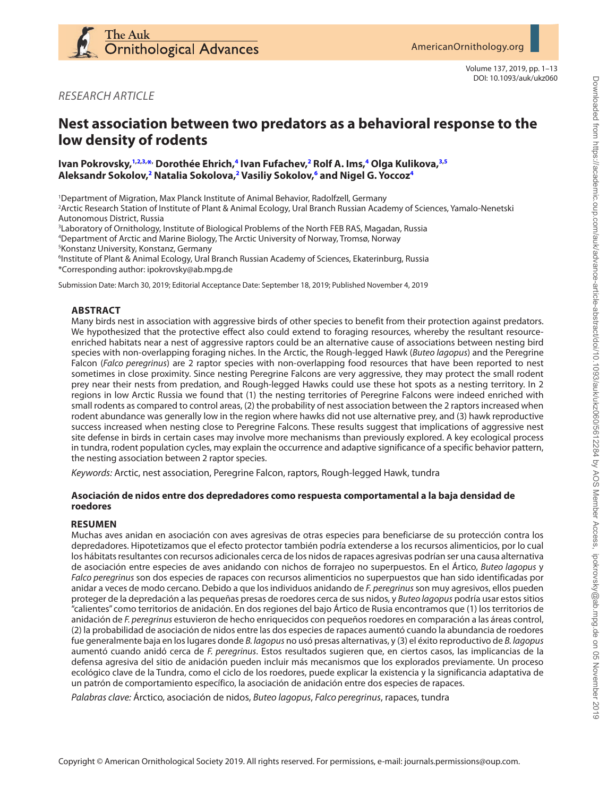

Volume 137, 2019, pp. 1–13 DOI: 10.1093/auk/ukz060

*RESEARCH ARTICLE*

# **Nest association between two predators as a behavioral response to the low density of rodents**

# **Ivan Pokrovsky, [1,](#page-0-0)[2,](#page-0-1)[3,](#page-0-2) [\\*,](#page-0-0) Dorothée Ehrich, [4](#page-0-3) Ivan Fufachev, [2](#page-0-1) Rolf A. Ims, [4](#page-0-3) Olga Kulikova, [3](#page-0-2)[,5](#page-0-4) Aleksandr Sokolov, [2](#page-0-1) Natalia Sokolova, [2](#page-0-1) Vasiliy Sokolov, [6](#page-0-5) and Nigel G. Yoccoz[4](#page-0-3)**

<span id="page-0-0"></span>1 Department of Migration, Max Planck Institute of Animal Behavior, Radolfzell, Germany

<span id="page-0-1"></span>2 Arctic Research Station of Institute of Plant & Animal Ecology, Ural Branch Russian Academy of Sciences, Yamalo-Nenetski Autonomous District, Russia

<span id="page-0-3"></span><span id="page-0-2"></span>3 Laboratory of Ornithology, Institute of Biological Problems of the North FEB RAS, Magadan, Russia 4 Department of Arctic and Marine Biology, The Arctic University of Norway, Tromsø, Norway

<span id="page-0-4"></span>5 Konstanz University, Konstanz, Germany

<span id="page-0-5"></span>6 Institute of Plant & Animal Ecology, Ural Branch Russian Academy of Sciences, Ekaterinburg, Russia \*Corresponding author: [ipokrovsky@ab.mpg.de](mailto:ipokrovsky@ab.mpg.de?subject=)

Submission Date: March 30, 2019; Editorial Acceptance Date: September 18, 2019; Published November 4, 2019

# **ABSTRACT**

Many birds nest in association with aggressive birds of other species to benefit from their protection against predators. We hypothesized that the protective effect also could extend to foraging resources, whereby the resultant resourceenriched habitats near a nest of aggressive raptors could be an alternative cause of associations between nesting bird species with non-overlapping foraging niches. In the Arctic, the Rough-legged Hawk (*Buteo lagopus*) and the Peregrine Falcon (*Falco peregrinus*) are 2 raptor species with non-overlapping food resources that have been reported to nest sometimes in close proximity. Since nesting Peregrine Falcons are very aggressive, they may protect the small rodent prey near their nests from predation, and Rough-legged Hawks could use these hot spots as a nesting territory. In 2 regions in low Arctic Russia we found that (1) the nesting territories of Peregrine Falcons were indeed enriched with small rodents as compared to control areas, (2) the probability of nest association between the 2 raptors increased when rodent abundance was generally low in the region where hawks did not use alternative prey, and (3) hawk reproductive success increased when nesting close to Peregrine Falcons. These results suggest that implications of aggressive nest site defense in birds in certain cases may involve more mechanisms than previously explored. A key ecological process in tundra, rodent population cycles, may explain the occurrence and adaptive significance of a specific behavior pattern, the nesting association between 2 raptor species.

*Keywords:* Arctic, nest association, Peregrine Falcon, raptors, Rough-legged Hawk, tundra

# **Asociación de nidos entre dos depredadores como respuesta comportamental a la baja densidad de roedores**

# **RESUMEN**

Muchas aves anidan en asociación con aves agresivas de otras especies para beneficiarse de su protección contra los depredadores. Hipotetizamos que el efecto protector también podría extenderse a los recursos alimenticios, por lo cual los hábitats resultantes con recursos adicionales cerca de los nidos de rapaces agresivas podrían ser una causa alternativa de asociación entre especies de aves anidando con nichos de forrajeo no superpuestos. En el Ártico, *Buteo lagopus* y *Falco peregrinus* son dos especies de rapaces con recursos alimenticios no superpuestos que han sido identificadas por anidar a veces de modo cercano. Debido a que los individuos anidando de *F. peregrinus* son muy agresivos, ellos pueden proteger de la depredación a las pequeñas presas de roedores cerca de sus nidos, y *Buteo lagopus* podría usar estos sitios "calientes" como territorios de anidación. En dos regiones del bajo Ártico de Rusia encontramos que (1) los territorios de anidación de *F. peregrinus* estuvieron de hecho enriquecidos con pequeños roedores en comparación a las áreas control, (2) la probabilidad de asociación de nidos entre las dos especies de rapaces aumentó cuando la abundancia de roedores fue generalmente baja en los lugares donde *B. lagopus* no usó presas alternativas, y (3) el éxito reproductivo de *B. lagopus* aumentó cuando anidó cerca de *F. peregrinus*. Estos resultados sugieren que, en ciertos casos, las implicancias de la defensa agresiva del sitio de anidación pueden incluir más mecanismos que los explorados previamente. Un proceso ecológico clave de la Tundra, como el ciclo de los roedores, puede explicar la existencia y la significancia adaptativa de un patrón de comportamiento específico, la asociación de anidación entre dos especies de rapaces.

*Palabras clave:* Árctico, asociación de nidos, *Buteo lagopus*, *Falco peregrinus*, rapaces, tundra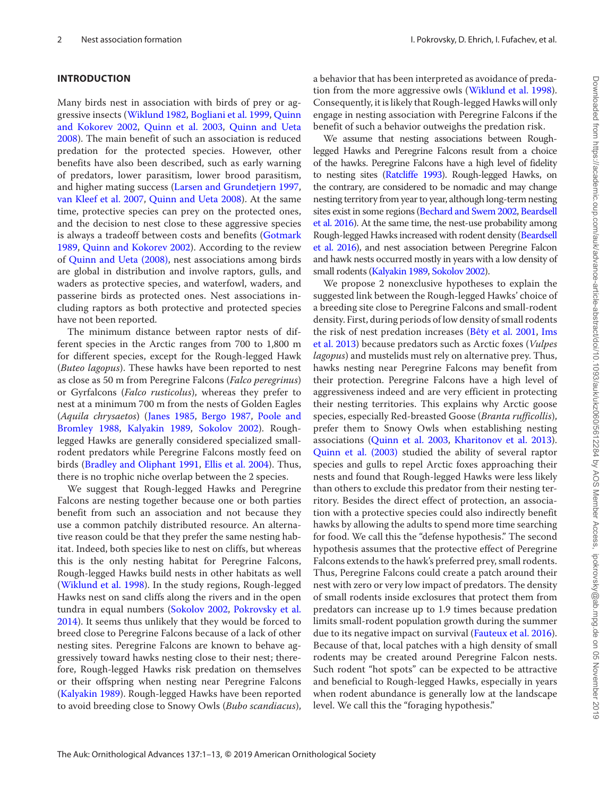# **INTRODUCTION**

Many birds nest in association with birds of prey or aggressive insects ([Wiklund 1982](#page-9-0), [Bogliani et al. 1999,](#page-8-0) [Quinn](#page-9-1)  [and Kokorev 2002,](#page-9-1) [Quinn et al. 2003](#page-9-2), [Quinn and Ueta](#page-9-3)  [2008](#page-9-3)). The main benefit of such an association is reduced predation for the protected species. However, other benefits have also been described, such as early warning of predators, lower parasitism, lower brood parasitism, and higher mating success [\(Larsen and Grundetjern 1997](#page-9-4), [van Kleef et al. 2007](#page-9-5), [Quinn and Ueta 2008](#page-9-3)). At the same time, protective species can prey on the protected ones, and the decision to nest close to these aggressive species is always a tradeoff between costs and benefits ([Gotmark](#page-9-6)  [1989](#page-9-6), [Quinn and Kokorev 2002](#page-9-1)). According to the review of [Quinn and Ueta \(2008\)](#page-9-3), nest associations among birds are global in distribution and involve raptors, gulls, and waders as protective species, and waterfowl, waders, and passerine birds as protected ones. Nest associations including raptors as both protective and protected species have not been reported.

The minimum distance between raptor nests of different species in the Arctic ranges from 700 to 1,800 m for different species, except for the Rough-legged Hawk (*Buteo lagopus*). These hawks have been reported to nest as close as 50 m from Peregrine Falcons (*Falco peregrinus*) or Gyrfalcons (*Falco rusticolus*), whereas they prefer to nest at a minimum 700 m from the nests of Golden Eagles (*Aquila chrysaetos*) ([Janes 1985,](#page-9-7) [Bergo 1987](#page-8-1), [Poole and](#page-9-8)  [Bromley 1988](#page-9-8), [Kalyakin 1989](#page-9-9), [Sokolov 2002](#page-9-10)). Roughlegged Hawks are generally considered specialized smallrodent predators while Peregrine Falcons mostly feed on birds [\(Bradley and Oliphant 1991,](#page-9-11) [Ellis et al. 2004](#page-9-12)). Thus, there is no trophic niche overlap between the 2 species.

We suggest that Rough-legged Hawks and Peregrine Falcons are nesting together because one or both parties benefit from such an association and not because they use a common patchily distributed resource. An alternative reason could be that they prefer the same nesting habitat. Indeed, both species like to nest on cliffs, but whereas this is the only nesting habitat for Peregrine Falcons, Rough-legged Hawks build nests in other habitats as well ([Wiklund et al. 1998](#page-9-13)). In the study regions, Rough-legged Hawks nest on sand cliffs along the rivers and in the open tundra in equal numbers ([Sokolov 2002,](#page-9-10) [Pokrovsky et al.](#page-9-14)  [2014](#page-9-14)). It seems thus unlikely that they would be forced to breed close to Peregrine Falcons because of a lack of other nesting sites. Peregrine Falcons are known to behave aggressively toward hawks nesting close to their nest; therefore, Rough-legged Hawks risk predation on themselves or their offspring when nesting near Peregrine Falcons [\(Kalyakin 1989](#page-9-9)). Rough-legged Hawks have been reported to avoid breeding close to Snowy Owls (*Bubo scandiacus*), a behavior that has been interpreted as avoidance of predation from the more aggressive owls ([Wiklund et al. 1998](#page-9-13)). Consequently, it is likely that Rough-legged Hawks will only engage in nesting association with Peregrine Falcons if the benefit of such a behavior outweighs the predation risk.

We assume that nesting associations between Roughlegged Hawks and Peregrine Falcons result from a choice of the hawks. Peregrine Falcons have a high level of fidelity to nesting sites [\(Ratcliffe 1993](#page-9-15)). Rough-legged Hawks, on the contrary, are considered to be nomadic and may change nesting territory from year to year, although long-term nesting sites exist in some regions [\(Bechard and Swem 2002,](#page-8-2) [Beardsell](#page-8-3) [et al. 2016\)](#page-8-3). At the same time, the nest-use probability among Rough-legged Hawks increased with rodent density [\(Beardsell](#page-8-3) [et al. 2016](#page-8-3)), and nest association between Peregrine Falcon and hawk nests occurred mostly in years with a low density of small rodents ([Kalyakin 1989](#page-9-9), [Sokolov 2002](#page-9-10)).

We propose 2 nonexclusive hypotheses to explain the suggested link between the Rough-legged Hawks' choice of a breeding site close to Peregrine Falcons and small-rodent density. First, during periods of low density of small rodents the risk of nest predation increases [\(Bêty et al. 2001,](#page-8-4) [Ims](#page-9-16) [et al. 2013\)](#page-9-16) because predators such as Arctic foxes (*Vulpes lagopus*) and mustelids must rely on alternative prey. Thus, hawks nesting near Peregrine Falcons may benefit from their protection. Peregrine Falcons have a high level of aggressiveness indeed and are very efficient in protecting their nesting territories. This explains why Arctic goose species, especially Red-breasted Goose (*Branta rufficollis*), prefer them to Snowy Owls when establishing nesting associations [\(Quinn et al. 2003,](#page-9-2) [Kharitonov et al. 2013](#page-9-17)). [Quinn et al. \(2003\)](#page-9-2) studied the ability of several raptor species and gulls to repel Arctic foxes approaching their nests and found that Rough-legged Hawks were less likely than others to exclude this predator from their nesting territory. Besides the direct effect of protection, an association with a protective species could also indirectly benefit hawks by allowing the adults to spend more time searching for food. We call this the "defense hypothesis." The second hypothesis assumes that the protective effect of Peregrine Falcons extends to the hawk's preferred prey, small rodents. Thus, Peregrine Falcons could create a patch around their nest with zero or very low impact of predators. The density of small rodents inside exclosures that protect them from predators can increase up to 1.9 times because predation limits small-rodent population growth during the summer due to its negative impact on survival [\(Fauteux et al. 2016](#page-9-18)). Because of that, local patches with a high density of small rodents may be created around Peregrine Falcon nests. Such rodent "hot spots" can be expected to be attractive and beneficial to Rough-legged Hawks, especially in years when rodent abundance is generally low at the landscape level. We call this the "foraging hypothesis."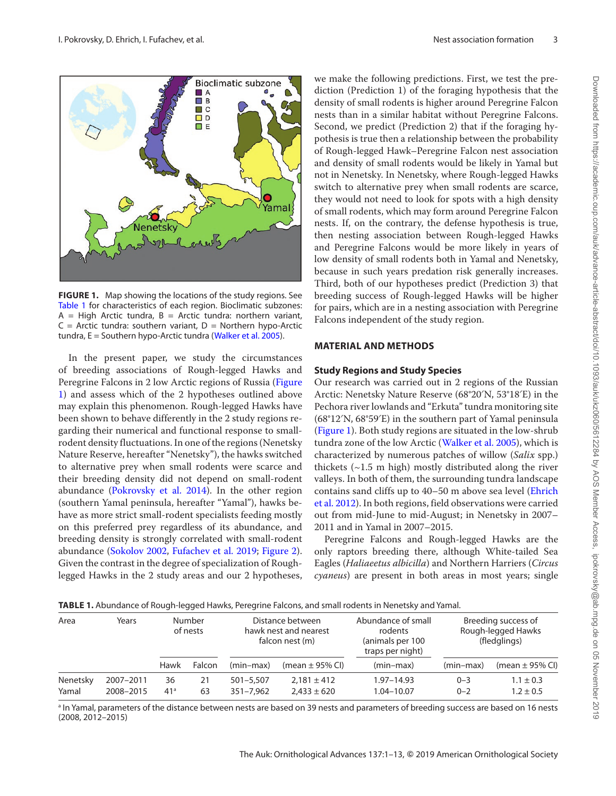

<span id="page-2-0"></span>**FIGURE 1.** Map showing the locations of the study regions. See [Table 1](#page-2-1) for characteristics of each region. Bioclimatic subzones:  $A = High$  Arctic tundra,  $B =$  Arctic tundra: northern variant,  $C =$  Arctic tundra: southern variant,  $D =$  Northern hypo-Arctic tundra, E = Southern hypo-Arctic tundra ([Walker et](#page-9-20) al. 2005).

In the present paper, we study the circumstances of breeding associations of Rough-legged Hawks and Peregrine Falcons in 2 low Arctic regions of Russia [\(Figure](#page-2-0) [1](#page-2-0)) and assess which of the 2 hypotheses outlined above may explain this phenomenon. Rough-legged Hawks have been shown to behave differently in the 2 study regions regarding their numerical and functional response to smallrodent density fluctuations. In one of the regions (Nenetsky Nature Reserve, hereafter "Nenetsky"), the hawks switched to alternative prey when small rodents were scarce and their breeding density did not depend on small-rodent abundance [\(Pokrovsky et al. 2014](#page-9-14)). In the other region (southern Yamal peninsula, hereafter "Yamal"), hawks behave as more strict small-rodent specialists feeding mostly on this preferred prey regardless of its abundance, and breeding density is strongly correlated with small-rodent abundance ([Sokolov 2002,](#page-9-10) [Fufachev et al. 2019](#page-9-19); [Figure 2\)](#page-3-0). Given the contrast in the degree of specialization of Roughlegged Hawks in the 2 study areas and our 2 hypotheses, we make the following predictions. First, we test the prediction (Prediction 1) of the foraging hypothesis that the density of small rodents is higher around Peregrine Falcon nests than in a similar habitat without Peregrine Falcons. Second, we predict (Prediction 2) that if the foraging hypothesis is true then a relationship between the probability of Rough-legged Hawk–Peregrine Falcon nest association and density of small rodents would be likely in Yamal but not in Nenetsky. In Nenetsky, where Rough-legged Hawks switch to alternative prey when small rodents are scarce, they would not need to look for spots with a high density of small rodents, which may form around Peregrine Falcon nests. If, on the contrary, the defense hypothesis is true, then nesting association between Rough-legged Hawks and Peregrine Falcons would be more likely in years of low density of small rodents both in Yamal and Nenetsky, because in such years predation risk generally increases. Third, both of our hypotheses predict (Prediction 3) that breeding success of Rough-legged Hawks will be higher for pairs, which are in a nesting association with Peregrine Falcons independent of the study region.

## **MATERIAL AND METHODS**

## **Study Regions and Study Species**

Our research was carried out in 2 regions of the Russian Arctic: Nenetsky Nature Reserve (68°20′N, 53°18′E) in the Pechora river lowlands and "Erkuta" tundra monitoring site (68°12′N, 68°59′E) in the southern part of Yamal peninsula ([Figure 1](#page-2-0)). Both study regions are situated in the low-shrub tundra zone of the low Arctic [\(Walker et al. 2005](#page-9-20)), which is characterized by numerous patches of willow (*Salix* spp.) thickets  $(-1.5 \text{ m high})$  mostly distributed along the river valleys. In both of them, the surrounding tundra landscape contains sand cliffs up to 40–50 m above sea level [\(Ehrich](#page-9-21)  [et al. 2012\)](#page-9-21). In both regions, field observations were carried out from mid-June to mid-August; in Nenetsky in 2007– 2011 and in Yamal in 2007–2015.

Peregrine Falcons and Rough-legged Hawks are the only raptors breeding there, although White-tailed Sea Eagles (*Haliaeetus albicilla*) and Northern Harriers (*Circus cyaneus*) are present in both areas in most years; single

<span id="page-2-1"></span>

|  |  |  | TABLE 1. Abundance of Rough-legged Hawks, Peregrine Falcons, and small rodents in Nenetsky and Yamal. |  |
|--|--|--|-------------------------------------------------------------------------------------------------------|--|
|  |  |  |                                                                                                       |  |

| Area              | Years                  | Number<br>of nests    |          | Distance between<br>hawk nest and nearest<br>falcon nest (m) |                                    | Abundance of small<br>rodents<br>(animals per 100<br>traps per night) | Breeding success of<br>Rough-legged Hawks<br>(fledglings) |                                |
|-------------------|------------------------|-----------------------|----------|--------------------------------------------------------------|------------------------------------|-----------------------------------------------------------------------|-----------------------------------------------------------|--------------------------------|
|                   |                        | Hawk                  | Falcon   | $(min-max)$                                                  | (mean $\pm$ 95% CI)                | $(min-max)$                                                           | $(min-max)$                                               | (mean $\pm$ 95% CI)            |
| Nenetsky<br>Yamal | 2007-2011<br>2008-2015 | 36<br>41 <sup>a</sup> | 21<br>63 | $501 - 5.507$<br>$351 - 7.962$                               | $2.181 \pm 412$<br>$2.433 \pm 620$ | 1.97-14.93<br>1.04-10.07                                              | $0 - 3$<br>$0 - 2$                                        | $1.1 \pm 0.3$<br>$1.2 \pm 0.5$ |

a In Yamal, parameters of the distance between nests are based on 39 nests and parameters of breeding success are based on 16 nests (2008, 2012–2015)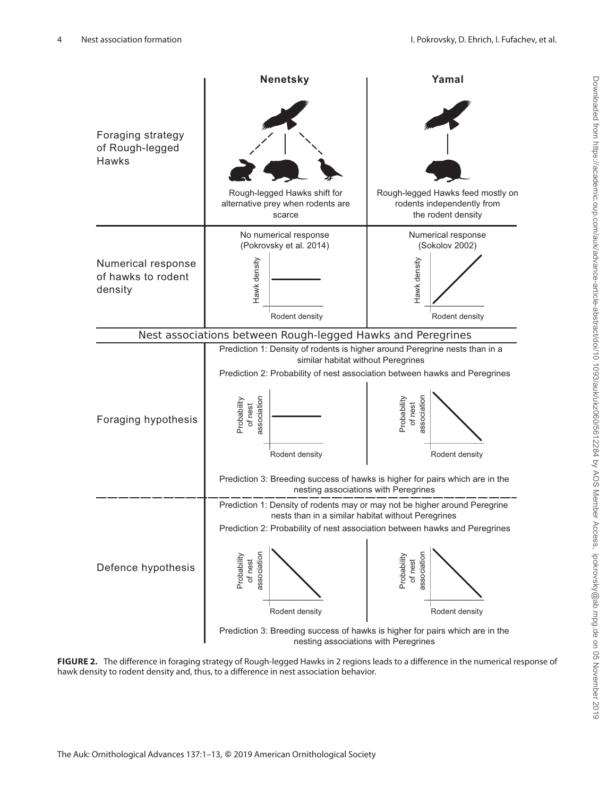

<span id="page-3-0"></span>**FIGURE 2.** The difference in foraging strategy of Rough-legged Hawks in 2 regions leads to a difference in the numerical response of hawk density to rodent density and, thus, to a difference in nest association behavior.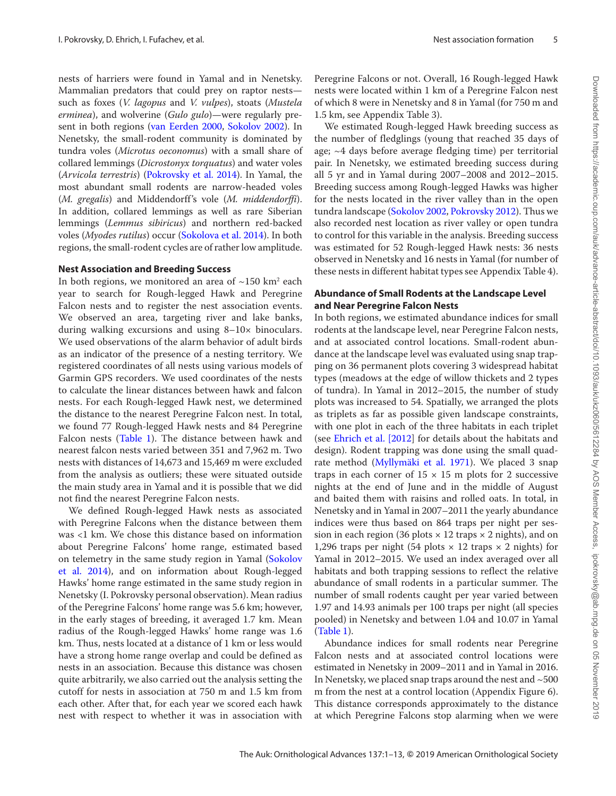nests of harriers were found in Yamal and in Nenetsky. Mammalian predators that could prey on raptor nests such as foxes (*V. lagopus* and *V. vulpes*), stoats (*Mustela erminea*), and wolverine (*Gulo gulo*)—were regularly present in both regions [\(van Eerden 2000,](#page-9-22) [Sokolov 2002\)](#page-9-10). In Nenetsky, the small-rodent community is dominated by tundra voles (*Microtus oeconomus*) with a small share of collared lemmings (*Dicrostonyx torquatus*) and water voles (*Arvicola terrestris*) ([Pokrovsky et al. 2014](#page-9-14)). In Yamal, the most abundant small rodents are narrow-headed voles (*M. gregalis*) and Middendorff's vole (*M. middendorffi*). In addition, collared lemmings as well as rare Siberian lemmings (*Lemmus sibiricus*) and northern red-backed voles (*Myodes rutilus*) occur [\(Sokolova et al. 2014](#page-9-23)). In both regions, the small-rodent cycles are of rather low amplitude.

#### **Nest Association and Breeding Success**

In both regions, we monitored an area of  $\sim$ 150 km<sup>2</sup> each year to search for Rough-legged Hawk and Peregrine Falcon nests and to register the nest association events. We observed an area, targeting river and lake banks, during walking excursions and using 8–10× binoculars. We used observations of the alarm behavior of adult birds as an indicator of the presence of a nesting territory. We registered coordinates of all nests using various models of Garmin GPS recorders. We used coordinates of the nests to calculate the linear distances between hawk and falcon nests. For each Rough-legged Hawk nest, we determined the distance to the nearest Peregrine Falcon nest. In total, we found 77 Rough-legged Hawk nests and 84 Peregrine Falcon nests ([Table 1](#page-2-1)). The distance between hawk and nearest falcon nests varied between 351 and 7,962 m. Two nests with distances of 14,673 and 15,469 m were excluded from the analysis as outliers; these were situated outside the main study area in Yamal and it is possible that we did not find the nearest Peregrine Falcon nests.

We defined Rough-legged Hawk nests as associated with Peregrine Falcons when the distance between them was <1 km. We chose this distance based on information about Peregrine Falcons' home range, estimated based on telemetry in the same study region in Yamal [\(Sokolov](#page-9-24) [et al. 2014](#page-9-24)), and on information about Rough-legged Hawks' home range estimated in the same study region in Nenetsky (I. Pokrovsky personal observation). Mean radius of the Peregrine Falcons' home range was 5.6 km; however, in the early stages of breeding, it averaged 1.7 km. Mean radius of the Rough-legged Hawks' home range was 1.6 km. Thus, nests located at a distance of 1 km or less would have a strong home range overlap and could be defined as nests in an association. Because this distance was chosen quite arbitrarily, we also carried out the analysis setting the cutoff for nests in association at 750 m and 1.5 km from each other. After that, for each year we scored each hawk nest with respect to whether it was in association with Peregrine Falcons or not. Overall, 16 Rough-legged Hawk nests were located within 1 km of a Peregrine Falcon nest of which 8 were in Nenetsky and 8 in Yamal (for 750 m and 1.5 km, see Appendix Table 3).

We estimated Rough-legged Hawk breeding success as the number of fledglings (young that reached 35 days of age; ~4 days before average fledging time) per territorial pair. In Nenetsky, we estimated breeding success during all 5 yr and in Yamal during 2007–2008 and 2012–2015. Breeding success among Rough-legged Hawks was higher for the nests located in the river valley than in the open tundra landscape ([Sokolov 2002,](#page-9-10) [Pokrovsky 2012\)](#page-9-25). Thus we also recorded nest location as river valley or open tundra to control for this variable in the analysis. Breeding success was estimated for 52 Rough-legged Hawk nests: 36 nests observed in Nenetsky and 16 nests in Yamal (for number of these nests in different habitat types see Appendix Table 4).

# **Abundance of Small Rodents at the Landscape Level and Near Peregrine Falcon Nests**

In both regions, we estimated abundance indices for small rodents at the landscape level, near Peregrine Falcon nests, and at associated control locations. Small-rodent abundance at the landscape level was evaluated using snap trapping on 36 permanent plots covering 3 widespread habitat types (meadows at the edge of willow thickets and 2 types of tundra). In Yamal in 2012–2015, the number of study plots was increased to 54. Spatially, we arranged the plots as triplets as far as possible given landscape constraints, with one plot in each of the three habitats in each triplet (see [Ehrich et al. \[2012](#page-9-21)] for details about the habitats and design). Rodent trapping was done using the small quadrate method ([Myllymäki et al. 1971](#page-9-26)). We placed 3 snap traps in each corner of  $15 \times 15$  m plots for 2 successive nights at the end of June and in the middle of August and baited them with raisins and rolled oats. In total, in Nenetsky and in Yamal in 2007–2011 the yearly abundance indices were thus based on 864 traps per night per session in each region (36 plots  $\times$  12 traps  $\times$  2 nights), and on 1,296 traps per night (54 plots  $\times$  12 traps  $\times$  2 nights) for Yamal in 2012–2015. We used an index averaged over all habitats and both trapping sessions to reflect the relative abundance of small rodents in a particular summer. The number of small rodents caught per year varied between 1.97 and 14.93 animals per 100 traps per night (all species pooled) in Nenetsky and between 1.04 and 10.07 in Yamal ([Table 1\)](#page-2-1).

Abundance indices for small rodents near Peregrine Falcon nests and at associated control locations were estimated in Nenetsky in 2009–2011 and in Yamal in 2016. In Nenetsky, we placed snap traps around the nest and  $\sim$  500 m from the nest at a control location (Appendix Figure 6). This distance corresponds approximately to the distance at which Peregrine Falcons stop alarming when we were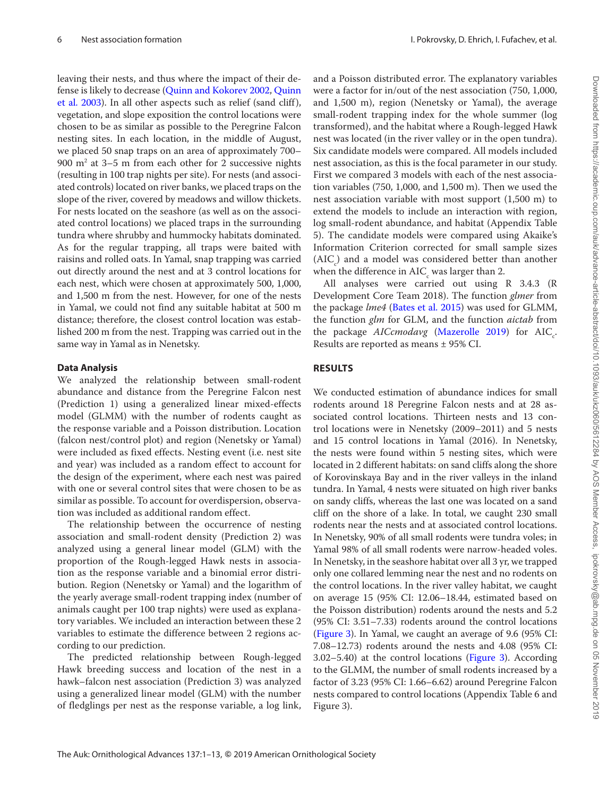leaving their nests, and thus where the impact of their defense is likely to decrease ([Quinn and Kokorev 2002](#page-9-1), [Quinn](#page-9-2)  [et al. 2003\)](#page-9-2). In all other aspects such as relief (sand cliff), vegetation, and slope exposition the control locations were chosen to be as similar as possible to the Peregrine Falcon nesting sites. In each location, in the middle of August, we placed 50 snap traps on an area of approximately 700– 900 m2 at 3–5 m from each other for 2 successive nights (resulting in 100 trap nights per site). For nests (and associated controls) located on river banks, we placed traps on the slope of the river, covered by meadows and willow thickets. For nests located on the seashore (as well as on the associated control locations) we placed traps in the surrounding tundra where shrubby and hummocky habitats dominated. As for the regular trapping, all traps were baited with raisins and rolled oats. In Yamal, snap trapping was carried out directly around the nest and at 3 control locations for each nest, which were chosen at approximately 500, 1,000, and 1,500 m from the nest. However, for one of the nests in Yamal, we could not find any suitable habitat at 500 m distance; therefore, the closest control location was established 200 m from the nest. Trapping was carried out in the same way in Yamal as in Nenetsky.

## **Data Analysis**

We analyzed the relationship between small-rodent abundance and distance from the Peregrine Falcon nest (Prediction 1) using a generalized linear mixed-effects model (GLMM) with the number of rodents caught as the response variable and a Poisson distribution. Location (falcon nest/control plot) and region (Nenetsky or Yamal) were included as fixed effects. Nesting event (i.e. nest site and year) was included as a random effect to account for the design of the experiment, where each nest was paired with one or several control sites that were chosen to be as similar as possible. To account for overdispersion, observation was included as additional random effect.

The relationship between the occurrence of nesting association and small-rodent density (Prediction 2) was analyzed using a general linear model (GLM) with the proportion of the Rough-legged Hawk nests in association as the response variable and a binomial error distribution. Region (Nenetsky or Yamal) and the logarithm of the yearly average small-rodent trapping index (number of animals caught per 100 trap nights) were used as explanatory variables. We included an interaction between these 2 variables to estimate the difference between 2 regions according to our prediction.

The predicted relationship between Rough-legged Hawk breeding success and location of the nest in a hawk–falcon nest association (Prediction 3) was analyzed using a generalized linear model (GLM) with the number of fledglings per nest as the response variable, a log link,

and a Poisson distributed error. The explanatory variables were a factor for in/out of the nest association (750, 1,000, and 1,500 m), region (Nenetsky or Yamal), the average small-rodent trapping index for the whole summer (log transformed), and the habitat where a Rough-legged Hawk nest was located (in the river valley or in the open tundra). Six candidate models were compared. All models included nest association, as this is the focal parameter in our study. First we compared 3 models with each of the nest association variables (750, 1,000, and 1,500 m). Then we used the nest association variable with most support (1,500 m) to extend the models to include an interaction with region, log small-rodent abundance, and habitat (Appendix Table 5). The candidate models were compared using Akaike's Information Criterion corrected for small sample sizes  $(AIC<sub>c</sub>)$  and a model was considered better than another when the difference in  $\mathrm{AIC}_\mathrm{c}$  was larger than 2.

All analyses were carried out using R 3.4.3 (R Development Core Team 2018). The function *glmer* from the package *lme4* [\(Bates et al. 2015](#page-8-5)) was used for GLMM, the function *glm* for GLM, and the function *aictab* from the package *AICcmodavg* ([Mazerolle 2019](#page-9-27)) for AIC<sub>c</sub>. Results are reported as means ± 95% CI.

# **RESULTS**

We conducted estimation of abundance indices for small rodents around 18 Peregrine Falcon nests and at 28 associated control locations. Thirteen nests and 13 control locations were in Nenetsky (2009–2011) and 5 nests and 15 control locations in Yamal (2016). In Nenetsky, the nests were found within 5 nesting sites, which were located in 2 different habitats: on sand cliffs along the shore of Korovinskaya Bay and in the river valleys in the inland tundra. In Yamal, 4 nests were situated on high river banks on sandy cliffs, whereas the last one was located on a sand cliff on the shore of a lake. In total, we caught 230 small rodents near the nests and at associated control locations. In Nenetsky, 90% of all small rodents were tundra voles; in Yamal 98% of all small rodents were narrow-headed voles. In Nenetsky, in the seashore habitat over all 3 yr, we trapped only one collared lemming near the nest and no rodents on the control locations. In the river valley habitat, we caught on average 15 (95% CI: 12.06–18.44, estimated based on the Poisson distribution) rodents around the nests and 5.2 (95% CI: 3.51–7.33) rodents around the control locations ([Figure 3\)](#page-6-0). In Yamal, we caught an average of 9.6 (95% CI: 7.08–12.73) rodents around the nests and 4.08 (95% CI: 3.02–5.40) at the control locations [\(Figure 3\)](#page-6-0). According to the GLMM, the number of small rodents increased by a factor of 3.23 (95% CI: 1.66–6.62) around Peregrine Falcon nests compared to control locations (Appendix Table 6 and Figure 3).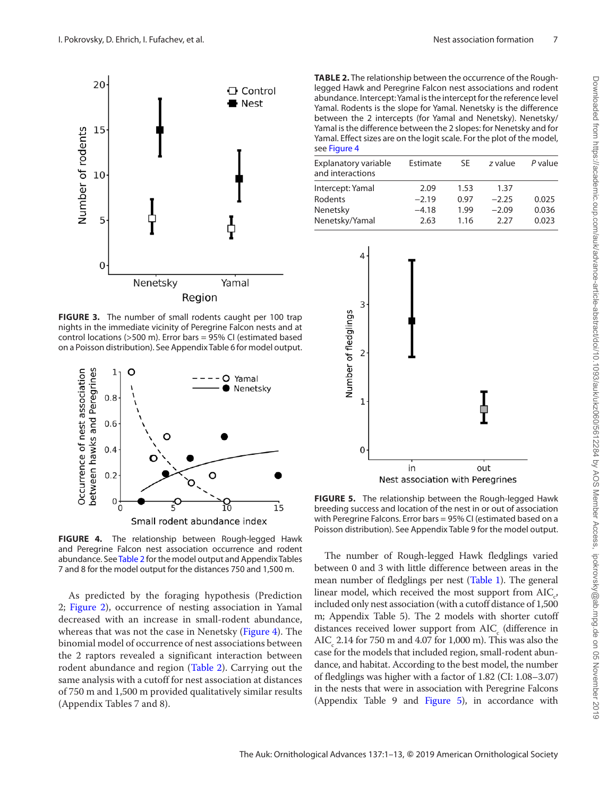

<span id="page-6-0"></span>**FIGURE 3.** The number of small rodents caught per 100 trap nights in the immediate vicinity of Peregrine Falcon nests and at control locations (>500 m). Error bars = 95% CI (estimated based on a Poisson distribution). See Appendix Table 6 for model output.



<span id="page-6-1"></span>**FIGURE 4.** The relationship between Rough-legged Hawk and Peregrine Falcon nest association occurrence and rodent abundance. See [Table 2](#page-6-2) for the model output and Appendix Tables 7 and 8 for the model output for the distances 750 and 1,500 m.

As predicted by the foraging hypothesis (Prediction 2; [Figure 2\)](#page-3-0), occurrence of nesting association in Yamal decreased with an increase in small-rodent abundance, whereas that was not the case in Nenetsky ([Figure 4\)](#page-6-1). The binomial model of occurrence of nest associations between the 2 raptors revealed a significant interaction between rodent abundance and region ([Table 2\)](#page-6-2). Carrying out the same analysis with a cutoff for nest association at distances of 750 m and 1,500 m provided qualitatively similar results (Appendix Tables 7 and 8).

<span id="page-6-2"></span>**TABLE 2.** The relationship between the occurrence of the Roughlegged Hawk and Peregrine Falcon nest associations and rodent abundance. Intercept: Yamal is the intercept for the reference level Yamal. Rodents is the slope for Yamal. Nenetsky is the difference between the 2 intercepts (for Yamal and Nenetsky). Nenetsky/ Yamal is the difference between the 2 slopes: for Nenetsky and for Yamal. Effect sizes are on the logit scale. For the plot of the model, see [Figure 4](#page-6-1)

| Explanatory variable<br>and interactions | Estimate | SF   | z value | P value |
|------------------------------------------|----------|------|---------|---------|
| Intercept: Yamal                         | 2.09     | 1.53 | 1.37    |         |
| <b>Rodents</b>                           | $-2.19$  | 0.97 | $-2.25$ | 0.025   |
| Nenetsky                                 | $-4.18$  | 1.99 | $-2.09$ | 0.036   |
| Nenetsky/Yamal                           | 2.63     | 1.16 | 2.27    | 0.023   |
|                                          |          |      |         |         |



<span id="page-6-3"></span>**FIGURE 5.** The relationship between the Rough-legged Hawk breeding success and location of the nest in or out of association with Peregrine Falcons. Error bars = 95% CI (estimated based on a Poisson distribution). See Appendix Table 9 for the model output.

The number of Rough-legged Hawk fledglings varied between 0 and 3 with little difference between areas in the mean number of fledglings per nest [\(Table 1](#page-2-1)). The general linear model, which received the most support from  $AIC_c$ , included only nest association (with a cutoff distance of 1,500 m; Appendix Table 5). The 2 models with shorter cutoff distances received lower support from  $\text{AIC}_\text{c}$  (difference in  $\text{AIC}_c$  2.14 for 750 m and 4.07 for 1,000 m). This was also the case for the models that included region, small-rodent abundance, and habitat. According to the best model, the number of fledglings was higher with a factor of 1.82 (CI: 1.08–3.07) in the nests that were in association with Peregrine Falcons (Appendix Table 9 and [Figure 5](#page-6-3)), in accordance with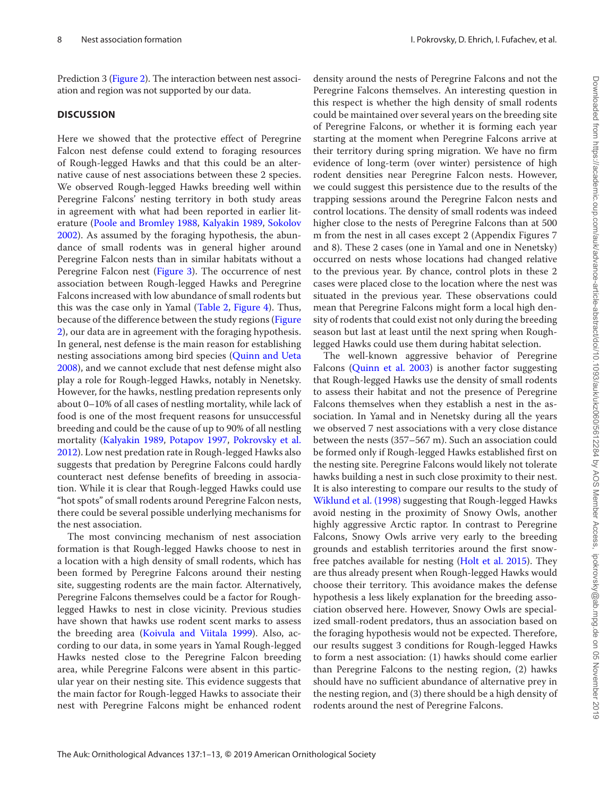Prediction 3 ([Figure 2](#page-3-0)). The interaction between nest association and region was not supported by our data.

### **DISCUSSION**

Here we showed that the protective effect of Peregrine Falcon nest defense could extend to foraging resources of Rough-legged Hawks and that this could be an alternative cause of nest associations between these 2 species. We observed Rough-legged Hawks breeding well within Peregrine Falcons' nesting territory in both study areas in agreement with what had been reported in earlier literature [\(Poole and Bromley 1988](#page-9-8), [Kalyakin 1989](#page-9-9), [Sokolov](#page-9-10)  [2002](#page-9-10)). As assumed by the foraging hypothesis, the abundance of small rodents was in general higher around Peregrine Falcon nests than in similar habitats without a Peregrine Falcon nest ([Figure 3\)](#page-6-0). The occurrence of nest association between Rough-legged Hawks and Peregrine Falcons increased with low abundance of small rodents but this was the case only in Yamal [\(Table 2](#page-6-2), [Figure 4\)](#page-6-1). Thus, because of the difference between the study regions [\(Figure](#page-3-0)  [2](#page-3-0)), our data are in agreement with the foraging hypothesis. In general, nest defense is the main reason for establishing nesting associations among bird species [\(Quinn and Ueta](#page-9-3)  [2008](#page-9-3)), and we cannot exclude that nest defense might also play a role for Rough-legged Hawks, notably in Nenetsky. However, for the hawks, nestling predation represents only about 0–10% of all cases of nestling mortality, while lack of food is one of the most frequent reasons for unsuccessful breeding and could be the cause of up to 90% of all nestling mortality ([Kalyakin 1989,](#page-9-9) [Potapov 1997](#page-9-28), [Pokrovsky et al.](#page-9-25)  [2012](#page-9-25)). Low nest predation rate in Rough-legged Hawks also suggests that predation by Peregrine Falcons could hardly counteract nest defense benefits of breeding in association. While it is clear that Rough-legged Hawks could use "hot spots" of small rodents around Peregrine Falcon nests, there could be several possible underlying mechanisms for the nest association.

The most convincing mechanism of nest association formation is that Rough-legged Hawks choose to nest in a location with a high density of small rodents, which has been formed by Peregrine Falcons around their nesting site, suggesting rodents are the main factor. Alternatively, Peregrine Falcons themselves could be a factor for Roughlegged Hawks to nest in close vicinity. Previous studies have shown that hawks use rodent scent marks to assess the breeding area [\(Koivula and Viitala 1999\)](#page-9-29). Also, according to our data, in some years in Yamal Rough-legged Hawks nested close to the Peregrine Falcon breeding area, while Peregrine Falcons were absent in this particular year on their nesting site. This evidence suggests that the main factor for Rough-legged Hawks to associate their nest with Peregrine Falcons might be enhanced rodent

density around the nests of Peregrine Falcons and not the Peregrine Falcons themselves. An interesting question in this respect is whether the high density of small rodents could be maintained over several years on the breeding site of Peregrine Falcons, or whether it is forming each year starting at the moment when Peregrine Falcons arrive at their territory during spring migration. We have no firm evidence of long-term (over winter) persistence of high rodent densities near Peregrine Falcon nests. However, we could suggest this persistence due to the results of the trapping sessions around the Peregrine Falcon nests and control locations. The density of small rodents was indeed higher close to the nests of Peregrine Falcons than at 500 m from the nest in all cases except 2 (Appendix Figures 7 and 8). These 2 cases (one in Yamal and one in Nenetsky) occurred on nests whose locations had changed relative to the previous year. By chance, control plots in these 2 cases were placed close to the location where the nest was situated in the previous year. These observations could mean that Peregrine Falcons might form a local high density of rodents that could exist not only during the breeding season but last at least until the next spring when Roughlegged Hawks could use them during habitat selection.

The well-known aggressive behavior of Peregrine Falcons (Quinn et al. 2003) is another factor suggesting that Rough-legged Hawks use the density of small rodents to assess their habitat and not the presence of Peregrine Falcons themselves when they establish a nest in the association. In Yamal and in Nenetsky during all the years we observed 7 nest associations with a very close distance between the nests (357–567 m). Such an association could be formed only if Rough-legged Hawks established first on the nesting site. Peregrine Falcons would likely not tolerate hawks building a nest in such close proximity to their nest. It is also interesting to compare our results to the study of [Wiklund et al. \(1998\)](#page-9-13) suggesting that Rough-legged Hawks avoid nesting in the proximity of Snowy Owls, another highly aggressive Arctic raptor. In contrast to Peregrine Falcons, Snowy Owls arrive very early to the breeding grounds and establish territories around the first snowfree patches available for nesting ([Holt et al. 2015\)](#page-9-30). They are thus already present when Rough-legged Hawks would choose their territory. This avoidance makes the defense hypothesis a less likely explanation for the breeding association observed here. However, Snowy Owls are specialized small-rodent predators, thus an association based on the foraging hypothesis would not be expected. Therefore, our results suggest 3 conditions for Rough-legged Hawks to form a nest association: (1) hawks should come earlier than Peregrine Falcons to the nesting region, (2) hawks should have no sufficient abundance of alternative prey in the nesting region, and (3) there should be a high density of rodents around the nest of Peregrine Falcons.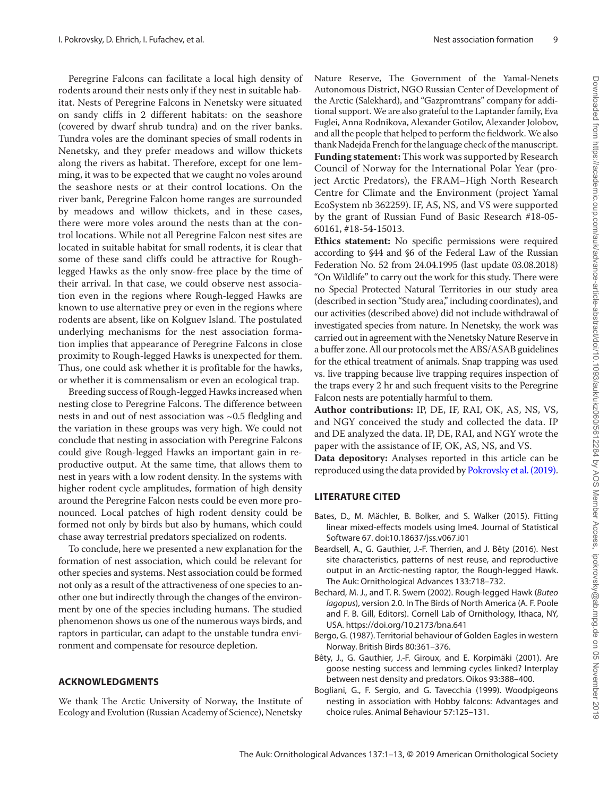Peregrine Falcons can facilitate a local high density of rodents around their nests only if they nest in suitable habitat. Nests of Peregrine Falcons in Nenetsky were situated on sandy cliffs in 2 different habitats: on the seashore (covered by dwarf shrub tundra) and on the river banks. Tundra voles are the dominant species of small rodents in Nenetsky, and they prefer meadows and willow thickets along the rivers as habitat. Therefore, except for one lemming, it was to be expected that we caught no voles around the seashore nests or at their control locations. On the river bank, Peregrine Falcon home ranges are surrounded by meadows and willow thickets, and in these cases, there were more voles around the nests than at the control locations. While not all Peregrine Falcon nest sites are located in suitable habitat for small rodents, it is clear that some of these sand cliffs could be attractive for Roughlegged Hawks as the only snow-free place by the time of their arrival. In that case, we could observe nest association even in the regions where Rough-legged Hawks are known to use alternative prey or even in the regions where rodents are absent, like on Kolguev Island. The postulated underlying mechanisms for the nest association formation implies that appearance of Peregrine Falcons in close proximity to Rough-legged Hawks is unexpected for them. Thus, one could ask whether it is profitable for the hawks, or whether it is commensalism or even an ecological trap.

Breeding success of Rough-legged Hawks increased when nesting close to Peregrine Falcons. The difference between nests in and out of nest association was ~0.5 fledgling and the variation in these groups was very high. We could not conclude that nesting in association with Peregrine Falcons could give Rough-legged Hawks an important gain in reproductive output. At the same time, that allows them to nest in years with a low rodent density. In the systems with higher rodent cycle amplitudes, formation of high density around the Peregrine Falcon nests could be even more pronounced. Local patches of high rodent density could be formed not only by birds but also by humans, which could chase away terrestrial predators specialized on rodents.

To conclude, here we presented a new explanation for the formation of nest association, which could be relevant for other species and systems. Nest association could be formed not only as a result of the attractiveness of one species to another one but indirectly through the changes of the environment by one of the species including humans. The studied phenomenon shows us one of the numerous ways birds, and raptors in particular, can adapt to the unstable tundra environment and compensate for resource depletion.

## **ACKNOWLEDGMENTS**

We thank The Arctic University of Norway, the Institute of Ecology and Evolution (Russian Academy of Science), Nenetsky

Nature Reserve, The Government of the Yamal-Nenets Autonomous District, NGO Russian Center of Development of the Arctic (Salekhard), and "Gazpromtrans" company for additional support. We are also grateful to the Laptander family, Eva Fuglei, Anna Rodnikova, Alexander Gotilov, Alexander Jolobov, and all the people that helped to perform the fieldwork. We also thank Nadejda French for the language check of the manuscript. **Funding statement:** This work was supported by Research Council of Norway for the International Polar Year (project Arctic Predators), the FRAM–High North Research Centre for Climate and the Environment (project Yamal EcoSystem nb 362259). IF, AS, NS, and VS were supported by the grant of Russian Fund of Basic Research #18-05- 60161, #18-54-15013.

**Ethics statement:** No specific permissions were required according to §44 and §6 of the Federal Law of the Russian Federation No. 52 from 24.04.1995 (last update 03.08.2018) "On Wildlife" to carry out the work for this study. There were no Special Protected Natural Territories in our study area (described in section "Study area," including coordinates), and our activities (described above) did not include withdrawal of investigated species from nature. In Nenetsky, the work was carried out in agreement with the Nenetsky Nature Reserve in a buffer zone. All our protocols met the ABS/ASAB guidelines for the ethical treatment of animals. Snap trapping was used vs. live trapping because live trapping requires inspection of the traps every 2 hr and such frequent visits to the Peregrine Falcon nests are potentially harmful to them.

**Author contributions:** IP, DE, IF, RAI, OK, AS, NS, VS, and NGY conceived the study and collected the data. IP and DE analyzed the data. IP, DE, RAI, and NGY wrote the paper with the assistance of IF, OK, AS, NS, and VS.

**Data depository:** Analyses reported in this article can be reproduced using the data provided by [Pokrovsky et al. \(2019\).](#page-9-31)

# **LITERATURE CITED**

- <span id="page-8-5"></span>Bates, D., M. Mächler, B. Bolker, and S. Walker (2015). Fitting linear mixed-effects models using lme4. Journal of Statistical Software 67. doi:10.18637/jss.v067.i01
- <span id="page-8-3"></span>Beardsell, A., G. Gauthier, J.-F. Therrien, and J. Bêty (2016). Nest site characteristics, patterns of nest reuse, and reproductive output in an Arctic-nesting raptor, the Rough-legged Hawk. The Auk: Ornithological Advances 133:718–732.
- <span id="page-8-2"></span>Bechard, M. J., and T. R. Swem (2002). Rough-legged Hawk (*Buteo lagopus*), version 2.0. In The Birds of North America (A. F. Poole and F. B. Gill, Editors). Cornell Lab of Ornithology, Ithaca, NY, USA. https://doi.org/10.2173/bna.641
- <span id="page-8-1"></span>Bergo, G. (1987). Territorial behaviour of Golden Eagles in western Norway. British Birds 80:361–376.
- <span id="page-8-4"></span>Bêty, J., G. Gauthier, J.-F. Giroux, and E. Korpimäki (2001). Are goose nesting success and lemming cycles linked? Interplay between nest density and predators. Oikos 93:388–400.
- <span id="page-8-0"></span>Bogliani, G., F. Sergio, and G. Tavecchia (1999). Woodpigeons nesting in association with Hobby falcons: Advantages and choice rules. Animal Behaviour 57:125–131.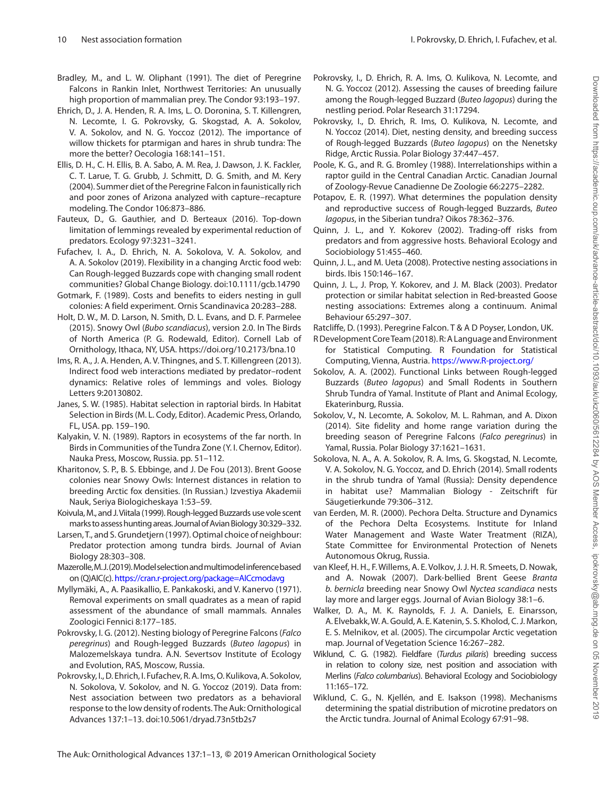- <span id="page-9-11"></span>Bradley, M., and L. W. Oliphant (1991). The diet of Peregrine Falcons in Rankin Inlet, Northwest Territories: An unusually high proportion of mammalian prey. The Condor 93:193–197.
- <span id="page-9-21"></span>Ehrich, D., J. A. Henden, R. A. Ims, L. O. Doronina, S. T. Killengren, N. Lecomte, I. G. Pokrovsky, G. Skogstad, A. A. Sokolov, V. A. Sokolov, and N. G. Yoccoz (2012). The importance of willow thickets for ptarmigan and hares in shrub tundra: The more the better? Oecologia 168:141–151.
- <span id="page-9-12"></span>Ellis, D. H., C. H. Ellis, B. A. Sabo, A. M. Rea, J. Dawson, J. K. Fackler, C. T. Larue, T. G. Grubb, J. Schmitt, D. G. Smith, and M. Kery (2004). Summer diet of the Peregrine Falcon in faunistically rich and poor zones of Arizona analyzed with capture–recapture modeling. The Condor 106:873–886.
- <span id="page-9-18"></span>Fauteux, D., G. Gauthier, and D. Berteaux (2016). Top-down limitation of lemmings revealed by experimental reduction of predators. Ecology 97:3231–3241.
- <span id="page-9-19"></span>Fufachev, I. A., D. Ehrich, N. A. Sokolova, V. A. Sokolov, and A. A. Sokolov (2019). Flexibility in a changing Arctic food web: Can Rough-legged Buzzards cope with changing small rodent communities? Global Change Biology. doi:10.1111/gcb.14790
- <span id="page-9-6"></span>Gotmark, F. (1989). Costs and benefits to eiders nesting in gull colonies: A field experiment. Ornis Scandinavica 20:283–288.
- <span id="page-9-30"></span>Holt, D. W., M. D. Larson, N. Smith, D. L. Evans, and D. F. Parmelee (2015). Snowy Owl (*Bubo scandiacus*), version 2.0. In The Birds of North America (P. G. Rodewald, Editor). Cornell Lab of Ornithology, Ithaca, NY, USA. https://doi.org/10.2173/bna.10
- <span id="page-9-16"></span>Ims, R. A., J. A. Henden, A. V. Thingnes, and S. T. Killengreen (2013). Indirect food web interactions mediated by predator–rodent dynamics: Relative roles of lemmings and voles. Biology Letters 9:20130802.
- <span id="page-9-7"></span>Janes, S. W. (1985). Habitat selection in raptorial birds. In Habitat Selection in Birds (M. L. Cody, Editor). Academic Press, Orlando, FL, USA. pp. 159–190.
- <span id="page-9-9"></span>Kalyakin, V. N. (1989). Raptors in ecosystems of the far north. In Birds in Communities of the Tundra Zone (Y. I. Chernov, Editor). Nauka Press, Moscow, Russia. pp. 51–112.
- <span id="page-9-17"></span>Kharitonov, S. P., B. S. Ebbinge, and J. De Fou (2013). Brent Goose colonies near Snowy Owls: Internest distances in relation to breeding Arctic fox densities. (In Russian.) Izvestiya Akademii Nauk, Seriya Biologicheskaya 1:53–59.
- <span id="page-9-29"></span>Koivula, M., and J.Viitala (1999). Rough-legged Buzzards use vole scent marks to assess hunting areas. Journal of Avian Biology 30:329–332.
- <span id="page-9-4"></span>Larsen,T., and S.Grundetjern (1997). Optimal choice of neighbour: Predator protection among tundra birds. Journal of Avian Biology 28:303–308.
- <span id="page-9-27"></span>Mazerolle,M.J. (2019). Model selection and multimodel inference based on (Q)AIC(c).<https://cran.r-project.org/package=AICcmodavg>
- <span id="page-9-26"></span>Myllymäki, A., A. Paasikallio, E. Pankakoski, and V. Kanervo (1971). Removal experiments on small quadrates as a mean of rapid assessment of the abundance of small mammals. Annales Zoologici Fennici 8:177–185.
- Pokrovsky, I. G. (2012). Nesting biology of Peregrine Falcons (*Falco peregrinus*) and Rough-legged Buzzards (*Buteo lagopus*) in Malozemelskaya tundra. A.N. Severtsov Institute of Ecology and Evolution, RAS, Moscow, Russia.
- <span id="page-9-31"></span>Pokrovsky, I., D. Ehrich, I. Fufachev, R.A. Ims, O. Kulikova, A. Sokolov, N. Sokolova, V. Sokolov, and N. G. Yoccoz (2019). Data from: Nest association between two predators as a behavioral response to the low density of rodents. The Auk: Ornithological Advances 137:1–13. doi:10.5061/dryad.73n5tb2s7
- <span id="page-9-25"></span>Pokrovsky, I., D. Ehrich, R. A. Ims, O. Kulikova, N. Lecomte, and N. G. Yoccoz (2012). Assessing the causes of breeding failure among the Rough-legged Buzzard (*Buteo lagopus*) during the nestling period. Polar Research 31:17294.
- <span id="page-9-14"></span>Pokrovsky, I., D. Ehrich, R. Ims, O. Kulikova, N. Lecomte, and N. Yoccoz (2014). Diet, nesting density, and breeding success of Rough-legged Buzzards (*Buteo lagopus*) on the Nenetsky Ridge, Arctic Russia. Polar Biology 37:447–457.
- <span id="page-9-8"></span>Poole, K. G., and R. G. Bromley (1988). Interrelationships within a raptor guild in the Central Canadian Arctic. Canadian Journal of Zoology-Revue Canadienne De Zoologie 66:2275–2282.
- <span id="page-9-28"></span>Potapov, E. R. (1997). What determines the population density and reproductive success of Rough-legged Buzzards, *Buteo lagopus*, in the Siberian tundra? Oikos 78:362–376.
- <span id="page-9-1"></span>Quinn, J. L., and Y. Kokorev (2002). Trading-off risks from predators and from aggressive hosts. Behavioral Ecology and Sociobiology 51:455–460.
- <span id="page-9-3"></span>Quinn, J. L., and M. Ueta (2008). Protective nesting associations in birds. Ibis 150:146–167.
- <span id="page-9-2"></span>Quinn, J. L., J. Prop, Y. Kokorev, and J. M. Black (2003). Predator protection or similar habitat selection in Red-breasted Goose nesting associations: Extremes along a continuum. Animal Behaviour 65:297–307.
- <span id="page-9-15"></span>Ratcliffe, D. (1993). Peregrine Falcon. T & A D Poyser, London, UK.
- R Development Core Team (2018). R: ALanguage and Environment for Statistical Computing. R Foundation for Statistical Computing, Vienna, Austria.<https://www.R-project.org/>
- <span id="page-9-10"></span>Sokolov, A. A. (2002). Functional Links between Rough-legged Buzzards (*Buteo lagopus*) and Small Rodents in Southern Shrub Tundra of Yamal. Institute of Plant and Animal Ecology, Ekaterinburg, Russia.
- <span id="page-9-24"></span>Sokolov, V., N. Lecomte, A. Sokolov, M. L. Rahman, and A. Dixon (2014). Site fidelity and home range variation during the breeding season of Peregrine Falcons (*Falco peregrinus*) in Yamal, Russia. Polar Biology 37:1621–1631.
- <span id="page-9-23"></span>Sokolova, N. A., A. A. Sokolov, R. A. Ims, G. Skogstad, N. Lecomte, V. A. Sokolov, N. G. Yoccoz, and D. Ehrich (2014). Small rodents in the shrub tundra of Yamal (Russia): Density dependence in habitat use? Mammalian Biology - Zeitschrift für Säugetierkunde 79:306–312.
- <span id="page-9-22"></span>van Eerden, M. R. (2000). Pechora Delta. Structure and Dynamics of the Pechora Delta Ecosystems. Institute for Inland Water Management and Waste Water Treatment (RIZA), State Committee for Environmental Protection of Nenets Autonomous Okrug, Russia.
- <span id="page-9-5"></span>van Kleef, H. H., F.Willems, A. E. Volkov, J.J. H. R. Smeets, D. Nowak, and A. Nowak (2007). Dark-bellied Brent Geese *Branta b. bernicla* breeding near Snowy Owl *Nyctea scandiaca* nests lay more and larger eggs. Journal of Avian Biology 38:1–6.
- <span id="page-9-20"></span>Walker, D. A., M. K. Raynolds, F. J. A. Daniels, E. Einarsson, A. Elvebakk, W. A.Gould, A. E. Katenin, S. S. Kholod, C.J. Markon, E. S. Melnikov, et al. (2005). The circumpolar Arctic vegetation map. Journal of Vegetation Science 16:267–282.
- <span id="page-9-0"></span>Wiklund, C. G. (1982). Fieldfare (*Turdus pilaris*) breeding success in relation to colony size, nest position and association with Merlins (*Falco columbarius*). Behavioral Ecology and Sociobiology 11:165–172.
- <span id="page-9-13"></span>Wiklund, C. G., N. Kjellén, and E. Isakson (1998). Mechanisms determining the spatial distribution of microtine predators on the Arctic tundra. Journal of Animal Ecology 67:91–98.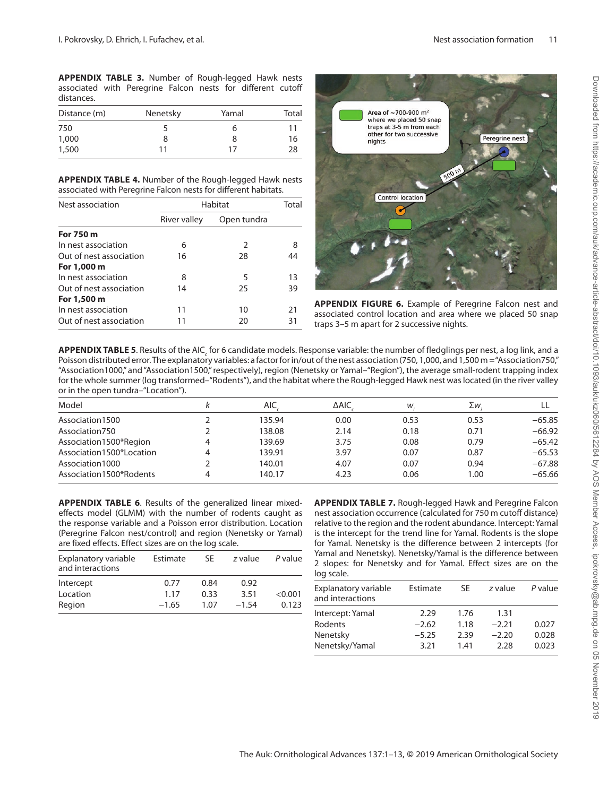**APPENDIX TABLE 3.** Number of Rough-legged Hawk nests associated with Peregrine Falcon nests for different cutoff distances.

| Distance (m) | Nenetsky | Yamal | Total |
|--------------|----------|-------|-------|
| 750          |          | ь     |       |
| 1,000        | 8        | 8     | 16    |
| 1,500        | 11       | 17    | 28    |

**APPENDIX TABLE 4.** Number of the Rough-legged Hawk nests associated with Peregrine Falcon nests for different habitats.

| Nest association        | Habitat      | Total       |    |
|-------------------------|--------------|-------------|----|
|                         | River valley | Open tundra |    |
| For 750 m               |              |             |    |
| In nest association     | 6            | 2           | 8  |
| Out of nest association | 16           | 28          | 44 |
| For 1,000 m             |              |             |    |
| In nest association     | 8            | 5           | 13 |
| Out of nest association | 14           | 25          | 39 |
| For 1,500 m             |              |             |    |
| In nest association     | 11           | 10          | 21 |
| Out of nest association | 11           | 20          | 31 |



**APPENDIX FIGURE 6.** Example of Peregrine Falcon nest and associated control location and area where we placed 50 snap traps 3–5 m apart for 2 successive nights.

**APPENDIX TABLE 5**. Results of the AIC<sub>c</sub> for 6 candidate models. Response variable: the number of fledglings per nest, a log link, and a Poisson distributed error. The explanatory variables: a factor for in/out of the nest association (750, 1,000, and 1,500 m = "Association750," "Association1000," and "Association1500," respectively), region (Nenetsky or Yamal–"Region"), the average small-rodent trapping index for the whole summer (log transformed–"Rodents"), and the habitat where the Rough-legged Hawk nest was located (in the river valley or in the open tundra–"Location").

| Model                    |   | <b>AIC</b> | ∆AIC | w    | Σw   |          |
|--------------------------|---|------------|------|------|------|----------|
| Association1500          |   | 135.94     | 0.00 | 0.53 | 0.53 | $-65.85$ |
| Association750           |   | 138.08     | 2.14 | 0.18 | 0.71 | $-66.92$ |
| Association1500*Region   | 4 | 139.69     | 3.75 | 0.08 | 0.79 | $-65.42$ |
| Association1500*Location | 4 | 139.91     | 3.97 | 0.07 | 0.87 | $-65.53$ |
| Association1000          |   | 140.01     | 4.07 | 0.07 | 0.94 | $-67.88$ |
| Association1500*Rodents  | 4 | 140.17     | 4.23 | 0.06 | 1.00 | $-65.66$ |

**APPENDIX TABLE 6**. Results of the generalized linear mixedeffects model (GLMM) with the number of rodents caught as the response variable and a Poisson error distribution. Location (Peregrine Falcon nest/control) and region (Nenetsky or Yamal) are fixed effects. Effect sizes are on the log scale.

| Explanatory variable<br>and interactions | Estimate | SF.  | z value | P value |
|------------------------------------------|----------|------|---------|---------|
| Intercept                                | 0.77     | 0.84 | 0.92    |         |
| Location                                 | 1.17     | 0.33 | 3.51    | < 0.001 |
| Region                                   | $-1.65$  | 1.07 | $-1.54$ | 0.123   |

**APPENDIX TABLE 7.** Rough-legged Hawk and Peregrine Falcon nest association occurrence (calculated for 750 m cutoff distance) relative to the region and the rodent abundance. Intercept: Yamal is the intercept for the trend line for Yamal. Rodents is the slope for Yamal. Nenetsky is the difference between 2 intercepts (for Yamal and Nenetsky). Nenetsky/Yamal is the difference between 2 slopes: for Nenetsky and for Yamal. Effect sizes are on the log scale.

| Explanatory variable<br>and interactions | Estimate | SF   | z value | P value |
|------------------------------------------|----------|------|---------|---------|
| Intercept: Yamal                         | 2.29     | 1.76 | 1.31    |         |
| Rodents                                  | $-2.62$  | 1.18 | $-2.21$ | 0.027   |
| Nenetsky                                 | $-5.25$  | 2.39 | $-2.20$ | 0.028   |
| Nenetsky/Yamal                           | 3.21     | 1.41 | 2.28    | 0.023   |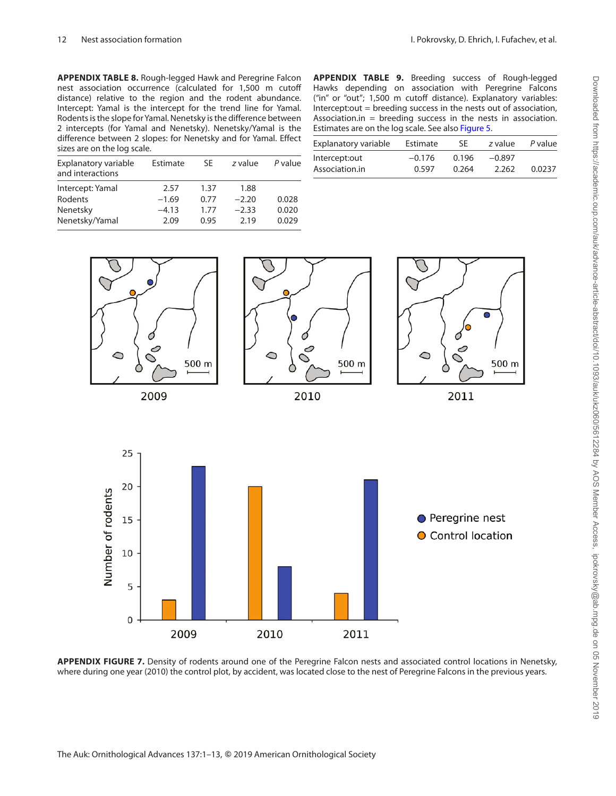**APPENDIX TABLE 8.** Rough-legged Hawk and Peregrine Falcon nest association occurrence (calculated for 1,500 m cutoff distance) relative to the region and the rodent abundance. Intercept: Yamal is the intercept for the trend line for Yamal. Rodents is the slope for Yamal. Nenetsky is the difference between 2 intercepts (for Yamal and Nenetsky). Nenetsky/Yamal is the difference between 2 slopes: for Nenetsky and for Yamal. Effect sizes are on the log scale.

| sizes are on the log scale.              |          |      |         |         |          |  |
|------------------------------------------|----------|------|---------|---------|----------|--|
| Explanatory variable<br>and interactions | Estimate | SE.  | z value | P value | In<br>As |  |
| Intercept: Yamal                         | 2.57     | 1.37 | 1.88    |         |          |  |
| Rodents                                  | $-1.69$  | 0.77 | $-2.20$ | 0.028   |          |  |
| Nenetsky                                 | $-4.13$  | 1.77 | $-2.33$ | 0.020   |          |  |
| Nenetsky/Yamal                           | 2.09     | 0.95 | 2.19    | 0.029   |          |  |

| <b>APPENDIX TABLE 9.</b> Breeding success of Rough-legged         |  |  |  |  |  |  |
|-------------------------------------------------------------------|--|--|--|--|--|--|
| Hawks depending on association with Peregrine Falcons             |  |  |  |  |  |  |
| ("in" or "out"; 1,500 m cutoff distance). Explanatory variables:  |  |  |  |  |  |  |
| Intercept:out = breeding success in the nests out of association, |  |  |  |  |  |  |
| Association.in = breeding success in the nests in association.    |  |  |  |  |  |  |
| Estimates are on the log scale. See also Figure 5.                |  |  |  |  |  |  |

| Explanatory variable | Estimate | SF.   | z value  | P value |
|----------------------|----------|-------|----------|---------|
| Intercept:out        | $-0.176$ | 0.196 | $-0.897$ |         |
| Association.in       | 0.597    | 0.264 | 2.262    | 0.0237  |
|                      |          |       |          |         |



**APPENDIX FIGURE 7.** Density of rodents around one of the Peregrine Falcon nests and associated control locations in Nenetsky, where during one year (2010) the control plot, by accident, was located close to the nest of Peregrine Falcons in the previous years.